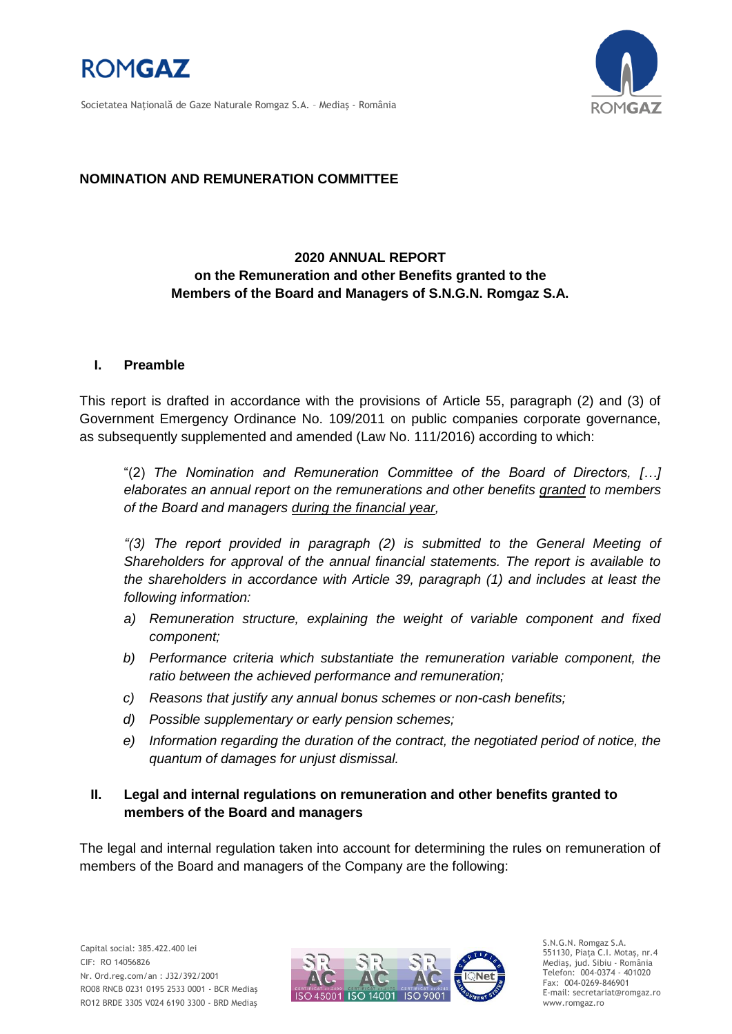





#### **NOMINATION AND REMUNERATION COMMITTEE**

## **2020 ANNUAL REPORT on the Remuneration and other Benefits granted to the Members of the Board and Managers of S.N.G.N. Romgaz S.A.**

#### **I. Preamble**

This report is drafted in accordance with the provisions of Article 55, paragraph (2) and (3) of Government Emergency Ordinance No. 109/2011 on public companies corporate governance, as subsequently supplemented and amended (Law No. 111/2016) according to which:

"(2) *The Nomination and Remuneration Committee of the Board of Directors, […] elaborates an annual report on the remunerations and other benefits granted to members of the Board and managers during the financial year,*

*"(3) The report provided in paragraph (2) is submitted to the General Meeting of Shareholders for approval of the annual financial statements. The report is available to the shareholders in accordance with Article 39, paragraph (1) and includes at least the following information:*

- a) Remuneration structure, explaining the weight of variable component and fixed *component;*
- *b) Performance criteria which substantiate the remuneration variable component, the ratio between the achieved performance and remuneration;*
- *c) Reasons that justify any annual bonus schemes or non-cash benefits;*
- *d) Possible supplementary or early pension schemes;*
- *e) Information regarding the duration of the contract, the negotiated period of notice, the quantum of damages for unjust dismissal.*

#### **II. Legal and internal regulations on remuneration and other benefits granted to members of the Board and managers**

The legal and internal regulation taken into account for determining the rules on remuneration of members of the Board and managers of the Company are the following:



S.N.G.N. Romgaz S.A. 551130, Piața C.I. Motaş, nr.4 Mediaş, jud. Sibiu - România Telefon: 004-0374 - 401020 Fax: 004-0269-846901 E-mail: secretariat@romgaz.ro www.romgaz.ro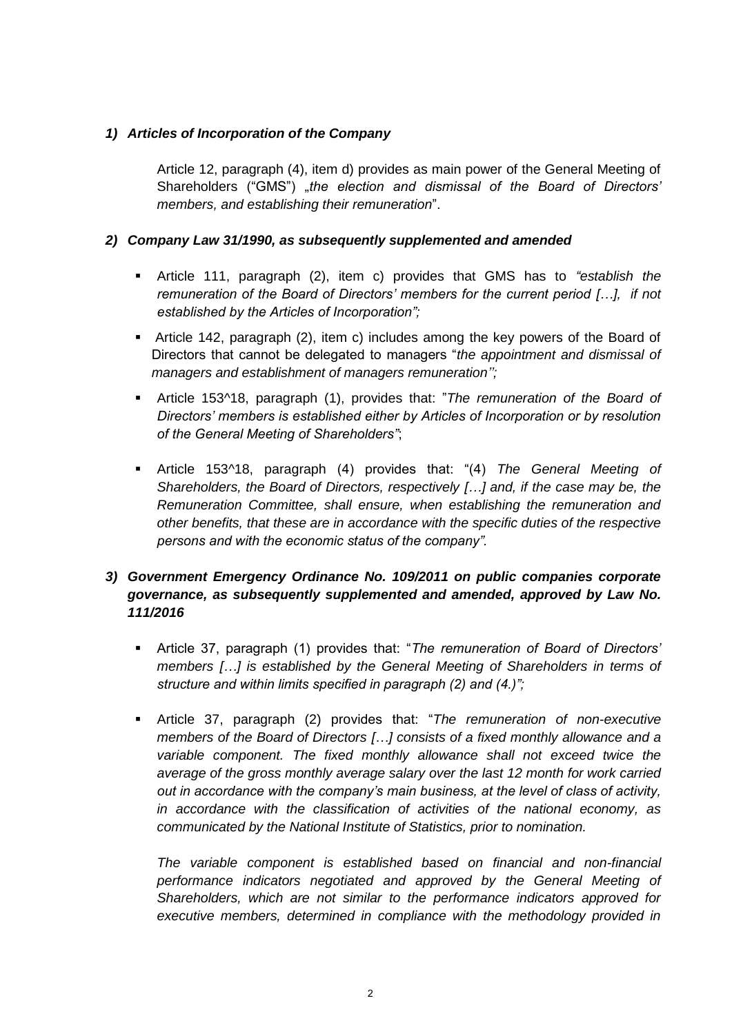### *1) Articles of Incorporation of the Company*

Article 12, paragraph (4), item d) provides as main power of the General Meeting of Shareholders ("GMS") "the election and dismissal of the Board of Directors' *members, and establishing their remuneration*".

#### *2) Company Law 31/1990, as subsequently supplemented and amended*

- Article 111, paragraph (2), item c) provides that GMS has to *"establish the remuneration of the Board of Directors' members for the current period […], if not established by the Articles of Incorporation";*
- Article 142, paragraph (2), item c) includes among the key powers of the Board of Directors that cannot be delegated to managers "*the appointment and dismissal of managers and establishment of managers remuneration'';*
- Article 153^18, paragraph (1), provides that: "*The remuneration of the Board of Directors' members is established either by Articles of Incorporation or by resolution of the General Meeting of Shareholders"*;
- Article 153^18, paragraph (4) provides that: "(4) *The General Meeting of Shareholders, the Board of Directors, respectively […] and, if the case may be, the Remuneration Committee, shall ensure, when establishing the remuneration and other benefits, that these are in accordance with the specific duties of the respective persons and with the economic status of the company".*

## *3) Government Emergency Ordinance No. 109/2011 on public companies corporate governance, as subsequently supplemented and amended, approved by Law No. 111/2016*

- Article 37, paragraph (1) provides that: "*The remuneration of Board of Directors' members […] is established by the General Meeting of Shareholders in terms of structure and within limits specified in paragraph (2) and (4.)";*
- Article 37, paragraph (2) provides that: "*The remuneration of non-executive members of the Board of Directors […] consists of a fixed monthly allowance and a variable component. The fixed monthly allowance shall not exceed twice the average of the gross monthly average salary over the last 12 month for work carried out in accordance with the company's main business, at the level of class of activity, in accordance with the classification of activities of the national economy, as communicated by the National Institute of Statistics, prior to nomination.*

*The variable component is established based on financial and non-financial performance indicators negotiated and approved by the General Meeting of Shareholders, which are not similar to the performance indicators approved for executive members, determined in compliance with the methodology provided in*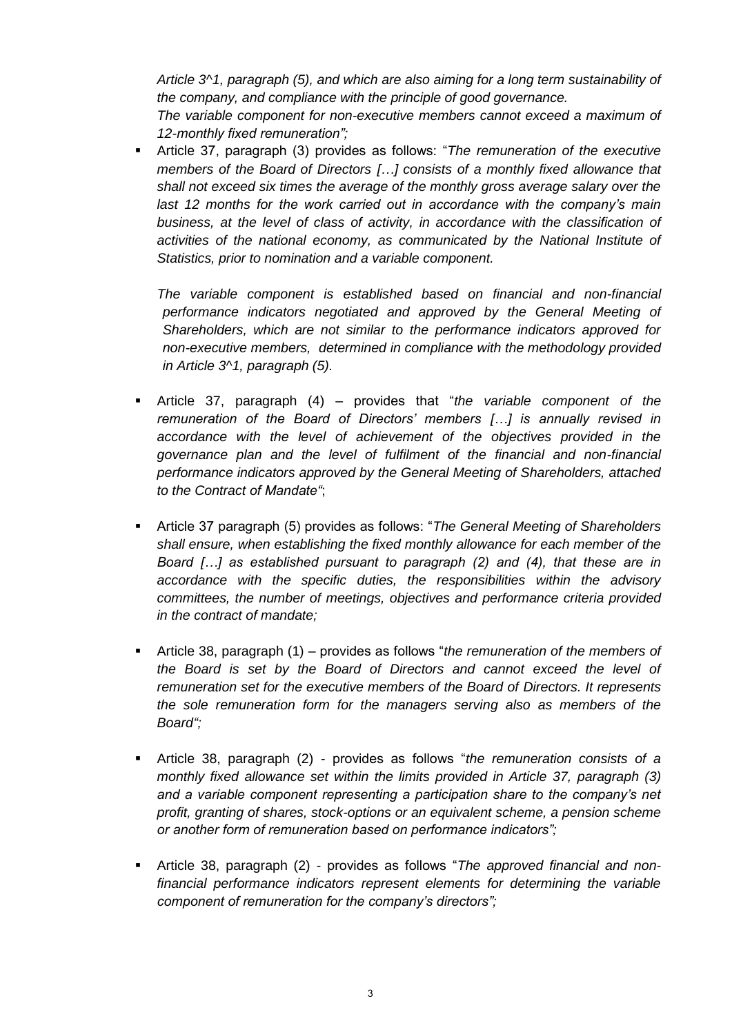*Article 3^1, paragraph (5), and which are also aiming for a long term sustainability of the company, and compliance with the principle of good governance. The variable component for non-executive members cannot exceed a maximum of* 

*12-monthly fixed remuneration";*

 Article 37, paragraph (3) provides as follows: "*The remuneration of the executive members of the Board of Directors […] consists of a monthly fixed allowance that shall not exceed six times the average of the monthly gross average salary over the last 12 months for the work carried out in accordance with the company's main business, at the level of class of activity, in accordance with the classification of activities of the national economy, as communicated by the National Institute of Statistics, prior to nomination and a variable component.*

*The variable component is established based on financial and non-financial performance indicators negotiated and approved by the General Meeting of Shareholders, which are not similar to the performance indicators approved for non-executive members, determined in compliance with the methodology provided in Article 3^1, paragraph (5).*

- Article 37, paragraph (4) provides that "*the variable component of the remuneration of the Board of Directors' members […] is annually revised in accordance with the level of achievement of the objectives provided in the governance plan and the level of fulfilment of the financial and non-financial performance indicators approved by the General Meeting of Shareholders, attached to the Contract of Mandate"*;
- Article 37 paragraph (5) provides as follows: "*The General Meeting of Shareholders shall ensure, when establishing the fixed monthly allowance for each member of the Board […] as established pursuant to paragraph (2) and (4), that these are in accordance with the specific duties, the responsibilities within the advisory committees, the number of meetings, objectives and performance criteria provided in the contract of mandate;*
- Article 38, paragraph (1) provides as follows "*the remuneration of the members of the Board is set by the Board of Directors and cannot exceed the level of remuneration set for the executive members of the Board of Directors. It represents the sole remuneration form for the managers serving also as members of the Board";*
- Article 38, paragraph (2) provides as follows "*the remuneration consists of a monthly fixed allowance set within the limits provided in Article 37, paragraph (3) and a variable component representing a participation share to the company's net profit, granting of shares, stock-options or an equivalent scheme, a pension scheme or another form of remuneration based on performance indicators";*
- Article 38, paragraph (2) provides as follows "*The approved financial and nonfinancial performance indicators represent elements for determining the variable component of remuneration for the company's directors";*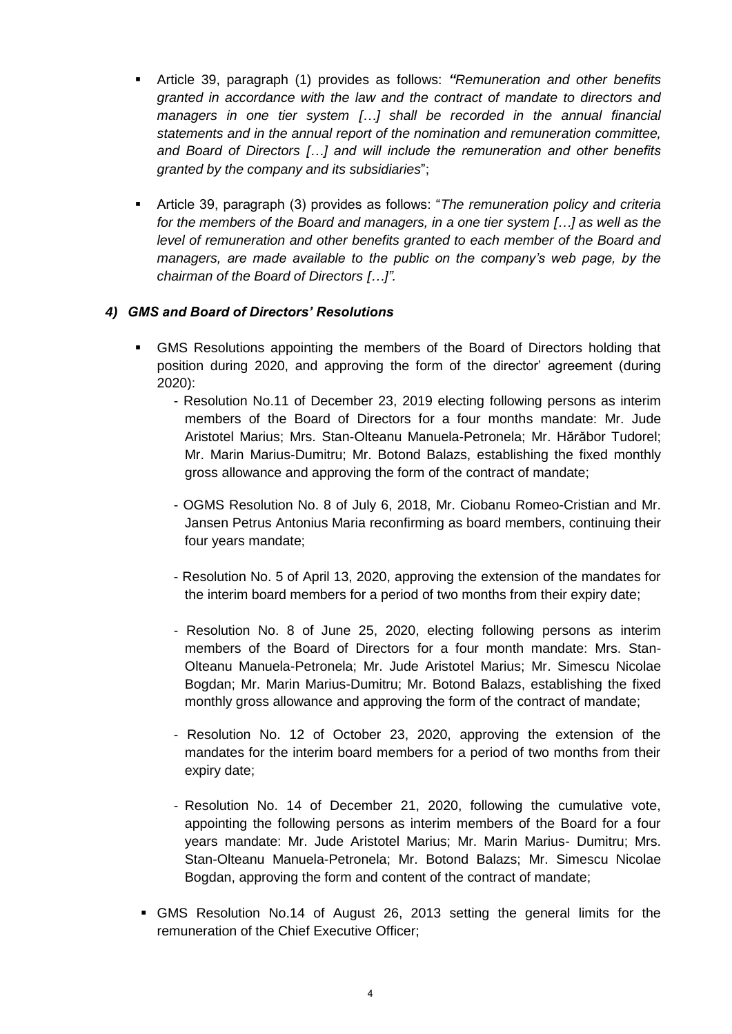- Article 39, paragraph (1) provides as follows: *"Remuneration and other benefits granted in accordance with the law and the contract of mandate to directors and managers in one tier system […] shall be recorded in the annual financial statements and in the annual report of the nomination and remuneration committee, and Board of Directors […] and will include the remuneration and other benefits granted by the company and its subsidiaries*";
- Article 39, paragraph (3) provides as follows: "*The remuneration policy and criteria for the members of the Board and managers, in a one tier system […] as well as the level of remuneration and other benefits granted to each member of the Board and managers, are made available to the public on the company's web page, by the chairman of the Board of Directors […]".*

#### *4) GMS and Board of Directors' Resolutions*

- GMS Resolutions appointing the members of the Board of Directors holding that position during 2020, and approving the form of the director' agreement (during 2020):
	- Resolution No.11 of December 23, 2019 electing following persons as interim members of the Board of Directors for a four months mandate: Mr. Jude Aristotel Marius; Mrs. Stan-Olteanu Manuela-Petronela; Mr. Hărăbor Tudorel; Mr. Marin Marius-Dumitru; Mr. Botond Balazs, establishing the fixed monthly gross allowance and approving the form of the contract of mandate;
	- OGMS Resolution No. 8 of July 6, 2018, Mr. Ciobanu Romeo-Cristian and Mr. Jansen Petrus Antonius Maria reconfirming as board members, continuing their four years mandate;
	- Resolution No. 5 of April 13, 2020, approving the extension of the mandates for the interim board members for a period of two months from their expiry date;
	- Resolution No. 8 of June 25, 2020, electing following persons as interim members of the Board of Directors for a four month mandate: Mrs. Stan-Olteanu Manuela-Petronela; Mr. Jude Aristotel Marius; Mr. Simescu Nicolae Bogdan; Mr. Marin Marius-Dumitru; Mr. Botond Balazs, establishing the fixed monthly gross allowance and approving the form of the contract of mandate;
	- Resolution No. 12 of October 23, 2020, approving the extension of the mandates for the interim board members for a period of two months from their expiry date;
	- Resolution No. 14 of December 21, 2020, following the cumulative vote, appointing the following persons as interim members of the Board for a four years mandate: Mr. Jude Aristotel Marius; Mr. Marin Marius- Dumitru; Mrs. Stan-Olteanu Manuela-Petronela; Mr. Botond Balazs; Mr. Simescu Nicolae Bogdan, approving the form and content of the contract of mandate;
- GMS Resolution No.14 of August 26, 2013 setting the general limits for the remuneration of the Chief Executive Officer;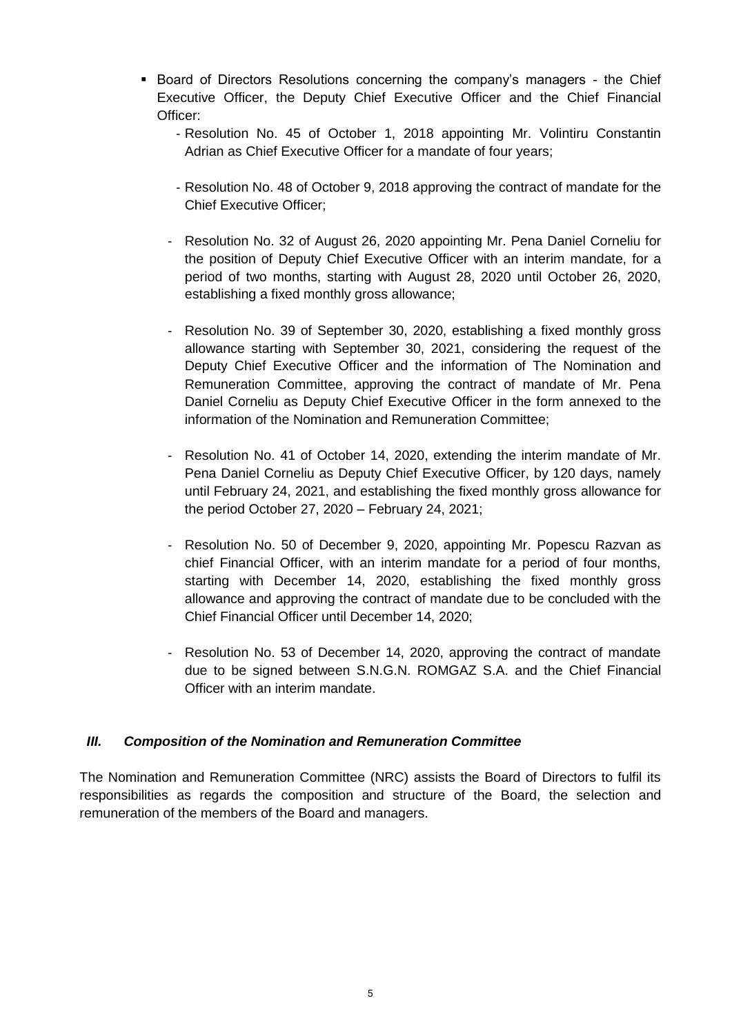- **Board of Directors Resolutions concerning the company's managers the Chief** Executive Officer, the Deputy Chief Executive Officer and the Chief Financial Officer:
	- Resolution No. 45 of October 1, 2018 appointing Mr. Volintiru Constantin Adrian as Chief Executive Officer for a mandate of four years;
	- Resolution No. 48 of October 9, 2018 approving the contract of mandate for the Chief Executive Officer;
	- Resolution No. 32 of August 26, 2020 appointing Mr. Pena Daniel Corneliu for the position of Deputy Chief Executive Officer with an interim mandate, for a period of two months, starting with August 28, 2020 until October 26, 2020, establishing a fixed monthly gross allowance;
	- Resolution No. 39 of September 30, 2020, establishing a fixed monthly gross allowance starting with September 30, 2021, considering the request of the Deputy Chief Executive Officer and the information of The Nomination and Remuneration Committee, approving the contract of mandate of Mr. Pena Daniel Corneliu as Deputy Chief Executive Officer in the form annexed to the information of the Nomination and Remuneration Committee;
	- Resolution No. 41 of October 14, 2020, extending the interim mandate of Mr. Pena Daniel Corneliu as Deputy Chief Executive Officer, by 120 days, namely until February 24, 2021, and establishing the fixed monthly gross allowance for the period October 27, 2020 – February 24, 2021;
	- Resolution No. 50 of December 9, 2020, appointing Mr. Popescu Razvan as chief Financial Officer, with an interim mandate for a period of four months, starting with December 14, 2020, establishing the fixed monthly gross allowance and approving the contract of mandate due to be concluded with the Chief Financial Officer until December 14, 2020;
	- Resolution No. 53 of December 14, 2020, approving the contract of mandate due to be signed between S.N.G.N. ROMGAZ S.A. and the Chief Financial Officer with an interim mandate.

## *III. Composition of the Nomination and Remuneration Committee*

The Nomination and Remuneration Committee (NRC) assists the Board of Directors to fulfil its responsibilities as regards the composition and structure of the Board, the selection and remuneration of the members of the Board and managers.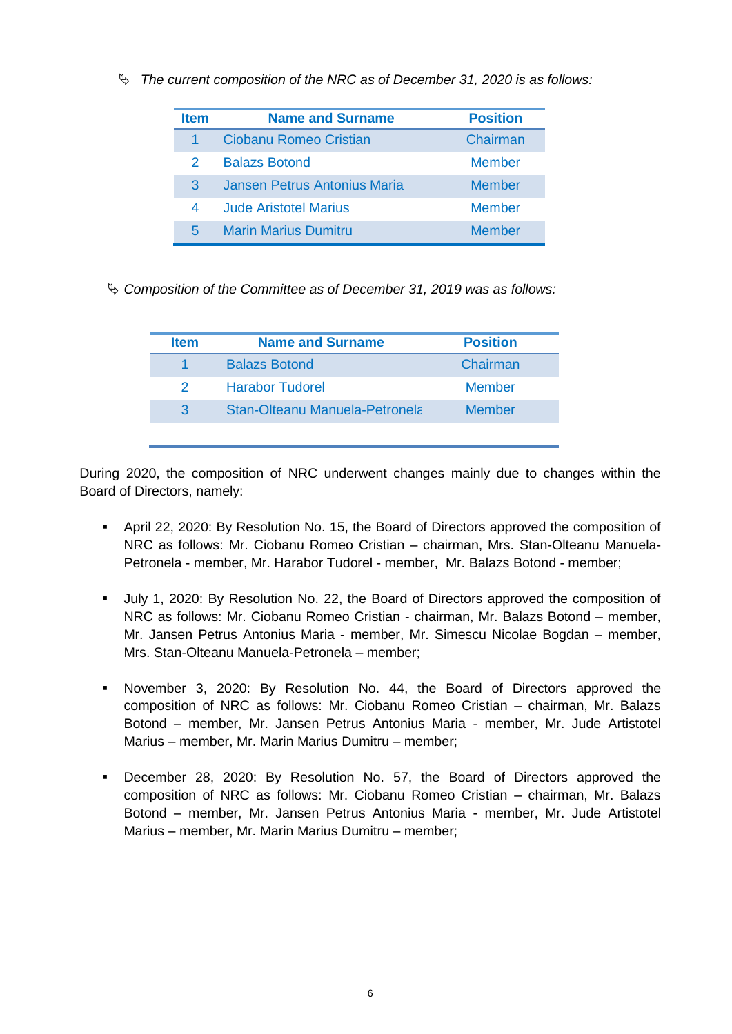*The current composition of the NRC as of December 31, 2020 is as follows:*

| <b>Item</b> | <b>Name and Surname</b>      | <b>Position</b> |
|-------------|------------------------------|-----------------|
|             | Ciobanu Romeo Cristian       | Chairman        |
| 2           | <b>Balazs Botond</b>         | <b>Member</b>   |
| 3           | Jansen Petrus Antonius Maria | <b>Member</b>   |
| 4           | <b>Jude Aristotel Marius</b> | Member          |
| 5           | <b>Marin Marius Dumitru</b>  | Member          |

*Composition of the Committee as of December 31, 2019 was as follows:* 

| <b>Item</b>   | <b>Name and Surname</b>        | <b>Position</b> |
|---------------|--------------------------------|-----------------|
|               | <b>Balazs Botond</b>           | Chairman        |
| $\mathcal{P}$ | <b>Harabor Tudorel</b>         | Member          |
| 3             | Stan-Olteanu Manuela-Petronela | <b>Member</b>   |
|               |                                |                 |

During 2020, the composition of NRC underwent changes mainly due to changes within the Board of Directors, namely:

- April 22, 2020: By Resolution No. 15, the Board of Directors approved the composition of NRC as follows: Mr. Ciobanu Romeo Cristian – chairman, Mrs. Stan-Olteanu Manuela-Petronela - member, Mr. Harabor Tudorel - member, Mr. Balazs Botond - member;
- July 1, 2020: By Resolution No. 22, the Board of Directors approved the composition of NRC as follows: Mr. Ciobanu Romeo Cristian - chairman, Mr. Balazs Botond – member, Mr. Jansen Petrus Antonius Maria - member, Mr. Simescu Nicolae Bogdan – member, Mrs. Stan-Olteanu Manuela-Petronela – member;
- November 3, 2020: By Resolution No. 44, the Board of Directors approved the composition of NRC as follows: Mr. Ciobanu Romeo Cristian – chairman, Mr. Balazs Botond – member, Mr. Jansen Petrus Antonius Maria - member, Mr. Jude Artistotel Marius – member, Mr. Marin Marius Dumitru – member;
- December 28, 2020: By Resolution No. 57, the Board of Directors approved the composition of NRC as follows: Mr. Ciobanu Romeo Cristian – chairman, Mr. Balazs Botond – member, Mr. Jansen Petrus Antonius Maria - member, Mr. Jude Artistotel Marius – member, Mr. Marin Marius Dumitru – member;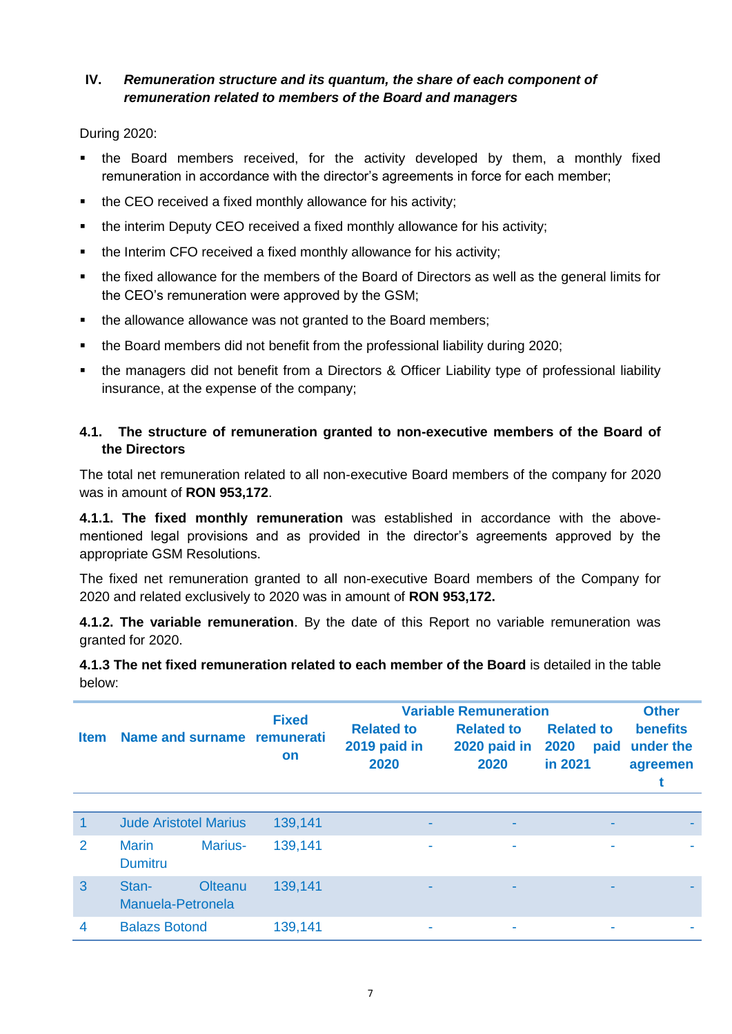## **IV.** *Remuneration structure and its quantum, the share of each component of remuneration related to members of the Board and managers*

During 2020:

- the Board members received, for the activity developed by them, a monthly fixed remuneration in accordance with the director's agreements in force for each member;
- the CEO received a fixed monthly allowance for his activity;
- the interim Deputy CEO received a fixed monthly allowance for his activity;
- the Interim CFO received a fixed monthly allowance for his activity;
- the fixed allowance for the members of the Board of Directors as well as the general limits for the CEO's remuneration were approved by the GSM;
- the allowance allowance was not granted to the Board members;
- the Board members did not benefit from the professional liability during 2020;
- the managers did not benefit from a Directors & Officer Liability type of professional liability insurance, at the expense of the company;

### **4.1. The structure of remuneration granted to non-executive members of the Board of the Directors**

The total net remuneration related to all non-executive Board members of the company for 2020 was in amount of **RON 953,172**.

**4.1.1. The fixed monthly remuneration** was established in accordance with the abovementioned legal provisions and as provided in the director's agreements approved by the appropriate GSM Resolutions.

The fixed net remuneration granted to all non-executive Board members of the Company for 2020 and related exclusively to 2020 was in amount of **RON 953,172.**

**4.1.2. The variable remuneration**. By the date of this Report no variable remuneration was granted for 2020.

**4.1.3 The net fixed remuneration related to each member of the Board** is detailed in the table below:

|                                            |                                |                           |                                           | <b>Variable Remuneration</b>              | <b>Other</b>                                 |                                          |  |
|--------------------------------------------|--------------------------------|---------------------------|-------------------------------------------|-------------------------------------------|----------------------------------------------|------------------------------------------|--|
| Name and surname remunerati<br><b>Item</b> |                                | <b>Fixed</b><br><b>on</b> | <b>Related to</b><br>2019 paid in<br>2020 | <b>Related to</b><br>2020 paid in<br>2020 | <b>Related to</b><br>2020<br>paid<br>in 2021 | <b>benefits</b><br>under the<br>agreemen |  |
|                                            |                                |                           |                                           |                                           |                                              |                                          |  |
| 1                                          | <b>Jude Aristotel Marius</b>   |                           | 139,141                                   |                                           | $\overline{\phantom{a}}$                     |                                          |  |
| 2                                          | <b>Marin</b><br><b>Dumitru</b> | Marius-                   | 139,141                                   |                                           | ۰                                            | ۰                                        |  |
| 3                                          | Stan-<br>Manuela-Petronela     | <b>Olteanu</b>            | 139,141                                   |                                           |                                              |                                          |  |
| 4                                          | <b>Balazs Botond</b>           |                           | 139,141                                   |                                           |                                              |                                          |  |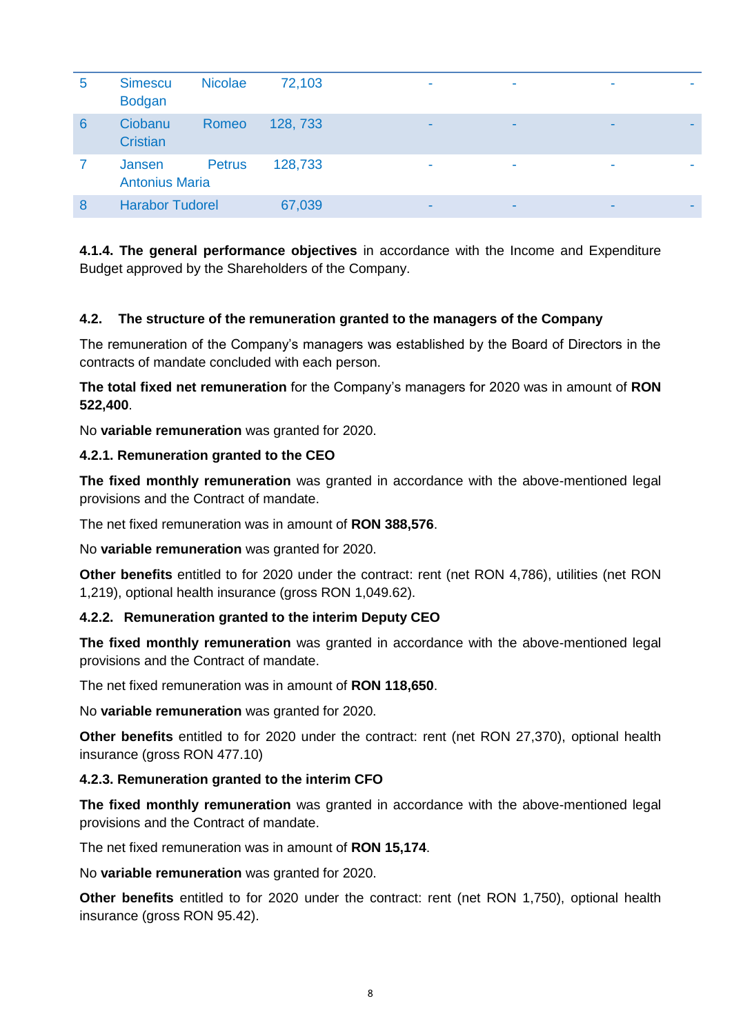| 5 | <b>Simescu</b><br><b>Bodgan</b> | <b>Nicolae</b> | 72,103   | ٠              | ٠                        | ۰ |
|---|---------------------------------|----------------|----------|----------------|--------------------------|---|
| 6 | Ciobanu<br><b>Cristian</b>      | Romeo          | 128, 733 | $\blacksquare$ | $\overline{\phantom{a}}$ |   |
|   | Jansen<br><b>Antonius Maria</b> | <b>Petrus</b>  | 128,733  | ۰              | ٠                        |   |
| 8 | <b>Harabor Tudorel</b>          |                | 67,039   | $\blacksquare$ | $\blacksquare$           |   |

**4.1.4. The general performance objectives** in accordance with the Income and Expenditure Budget approved by the Shareholders of the Company.

## **4.2. The structure of the remuneration granted to the managers of the Company**

The remuneration of the Company's managers was established by the Board of Directors in the contracts of mandate concluded with each person.

**The total fixed net remuneration** for the Company's managers for 2020 was in amount of **RON 522,400**.

No **variable remuneration** was granted for 2020.

#### **4.2.1. Remuneration granted to the CEO**

**The fixed monthly remuneration** was granted in accordance with the above-mentioned legal provisions and the Contract of mandate.

The net fixed remuneration was in amount of **RON 388,576**.

No **variable remuneration** was granted for 2020.

**Other benefits** entitled to for 2020 under the contract: rent (net RON 4,786), utilities (net RON 1,219), optional health insurance (gross RON 1,049.62).

#### **4.2.2. Remuneration granted to the interim Deputy CEO**

**The fixed monthly remuneration** was granted in accordance with the above-mentioned legal provisions and the Contract of mandate.

The net fixed remuneration was in amount of **RON 118,650**.

No **variable remuneration** was granted for 2020.

**Other benefits** entitled to for 2020 under the contract: rent (net RON 27,370), optional health insurance (gross RON 477.10)

#### **4.2.3. Remuneration granted to the interim CFO**

**The fixed monthly remuneration** was granted in accordance with the above-mentioned legal provisions and the Contract of mandate.

The net fixed remuneration was in amount of **RON 15,174**.

No **variable remuneration** was granted for 2020.

**Other benefits** entitled to for 2020 under the contract: rent (net RON 1,750), optional health insurance (gross RON 95.42).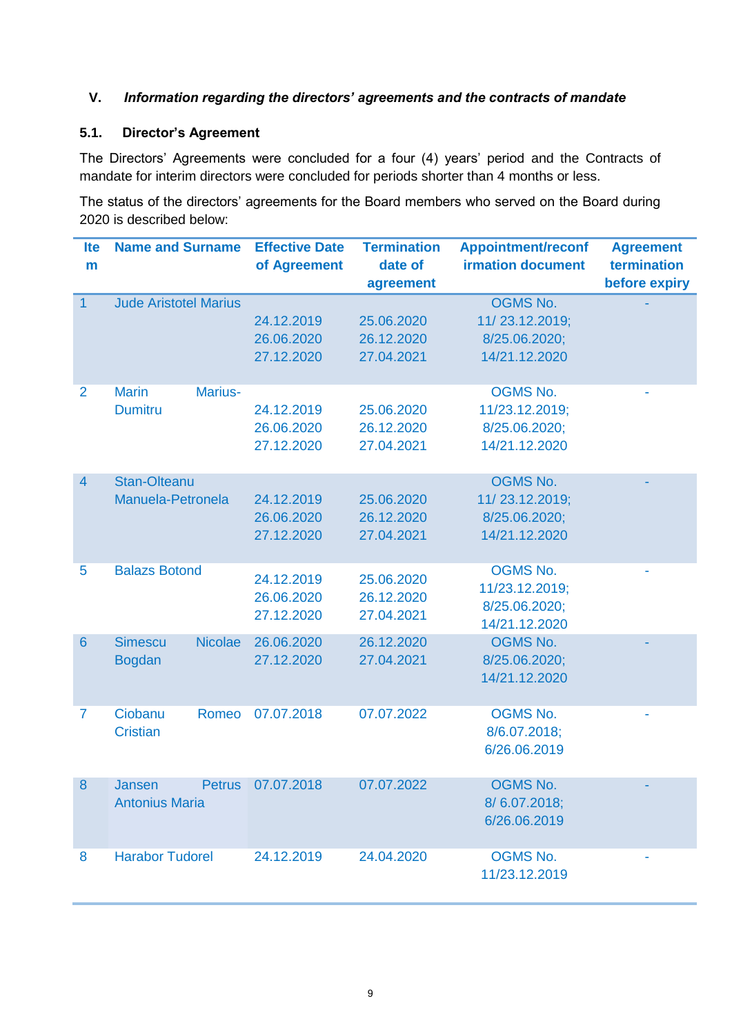## **V.** *Information regarding the directors' agreements and the contracts of mandate*

# **5.1. Director's Agreement**

The Directors' Agreements were concluded for a four (4) years' period and the Contracts of mandate for interim directors were concluded for periods shorter than 4 months or less.

The status of the directors' agreements for the Board members who served on the Board during 2020 is described below:

| <b>Ite</b>      | <b>Name and Surname</b>                           | <b>Effective Date</b>                  | <b>Termination</b>                     | <b>Appointment/reconf</b>                                           | <b>Agreement</b> |
|-----------------|---------------------------------------------------|----------------------------------------|----------------------------------------|---------------------------------------------------------------------|------------------|
| m               |                                                   | of Agreement                           | date of                                | <b>irmation document</b>                                            | termination      |
|                 |                                                   |                                        | agreement                              |                                                                     | before expiry    |
| $\overline{1}$  | <b>Jude Aristotel Marius</b>                      | 24.12.2019<br>26.06.2020<br>27.12.2020 | 25.06.2020<br>26.12.2020<br>27.04.2021 | <b>OGMS No.</b><br>11/23.12.2019;<br>8/25.06.2020;<br>14/21.12.2020 |                  |
| $\overline{2}$  | <b>Marin</b><br>Marius-<br><b>Dumitru</b>         | 24.12.2019<br>26.06.2020<br>27.12.2020 | 25.06.2020<br>26.12.2020<br>27.04.2021 | <b>OGMS No.</b><br>11/23.12.2019;<br>8/25.06.2020;<br>14/21.12.2020 |                  |
| $\overline{4}$  | <b>Stan-Olteanu</b><br>Manuela-Petronela          | 24.12.2019<br>26.06.2020<br>27.12.2020 | 25.06.2020<br>26.12.2020<br>27.04.2021 | <b>OGMS No.</b><br>11/23.12.2019;<br>8/25.06.2020;<br>14/21.12.2020 |                  |
| 5               | <b>Balazs Botond</b>                              | 24.12.2019<br>26.06.2020<br>27.12.2020 | 25.06.2020<br>26.12.2020<br>27.04.2021 | <b>OGMS No.</b><br>11/23.12.2019;<br>8/25.06.2020;<br>14/21.12.2020 |                  |
| $6\phantom{1}6$ | <b>Simescu</b><br><b>Nicolae</b><br><b>Bogdan</b> | 26.06.2020<br>27.12.2020               | 26.12.2020<br>27.04.2021               | <b>OGMS No.</b><br>8/25.06.2020;<br>14/21.12.2020                   |                  |
| $\overline{7}$  | Ciobanu<br>Romeo<br><b>Cristian</b>               | 07.07.2018                             | 07.07.2022                             | <b>OGMS No.</b><br>8/6.07.2018;<br>6/26.06.2019                     |                  |
| 8               | <b>Petrus</b><br>Jansen<br><b>Antonius Maria</b>  | 07.07.2018                             | 07.07.2022                             | <b>OGMS No.</b><br>8/6.07.2018;<br>6/26.06.2019                     |                  |
| 8               | <b>Harabor Tudorel</b>                            | 24.12.2019                             | 24.04.2020                             | <b>OGMS No.</b><br>11/23.12.2019                                    |                  |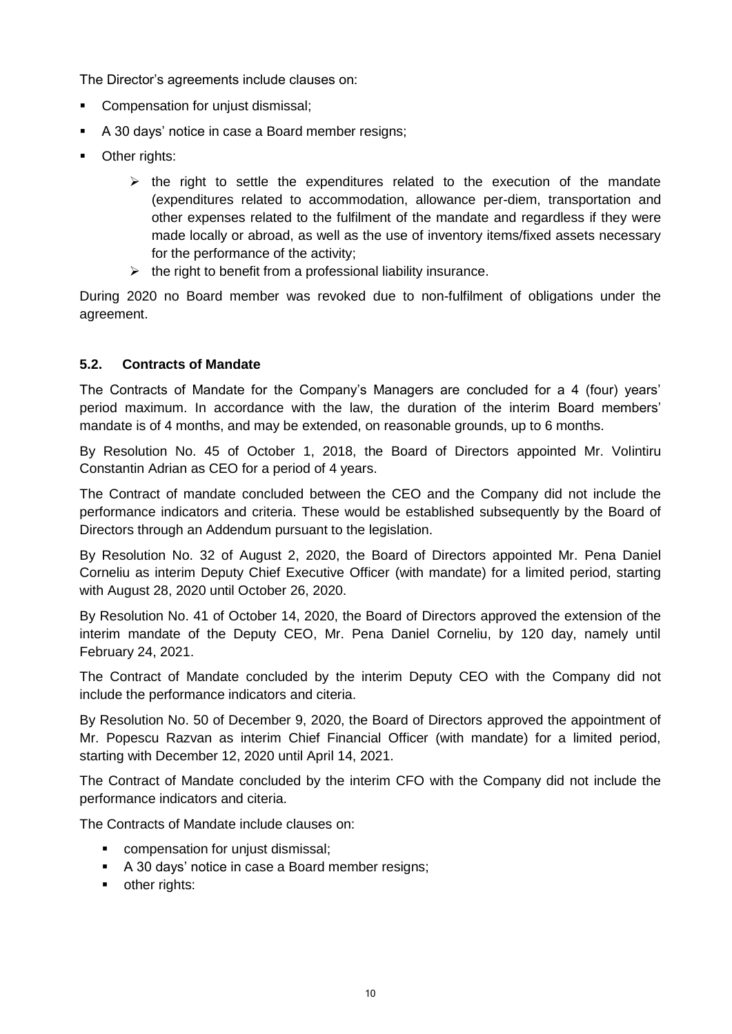The Director's agreements include clauses on:

- **Compensation for unjust dismissal;**
- A 30 days' notice in case a Board member resigns;
- **•** Other rights:
	- $\triangleright$  the right to settle the expenditures related to the execution of the mandate (expenditures related to accommodation, allowance per-diem, transportation and other expenses related to the fulfilment of the mandate and regardless if they were made locally or abroad, as well as the use of inventory items/fixed assets necessary for the performance of the activity;
	- $\triangleright$  the right to benefit from a professional liability insurance.

During 2020 no Board member was revoked due to non-fulfilment of obligations under the agreement.

#### **5.2. Contracts of Mandate**

The Contracts of Mandate for the Company's Managers are concluded for a 4 (four) years' period maximum. In accordance with the law, the duration of the interim Board members' mandate is of 4 months, and may be extended, on reasonable grounds, up to 6 months.

By Resolution No. 45 of October 1, 2018, the Board of Directors appointed Mr. Volintiru Constantin Adrian as CEO for a period of 4 years.

The Contract of mandate concluded between the CEO and the Company did not include the performance indicators and criteria. These would be established subsequently by the Board of Directors through an Addendum pursuant to the legislation.

By Resolution No. 32 of August 2, 2020, the Board of Directors appointed Mr. Pena Daniel Corneliu as interim Deputy Chief Executive Officer (with mandate) for a limited period, starting with August 28, 2020 until October 26, 2020.

By Resolution No. 41 of October 14, 2020, the Board of Directors approved the extension of the interim mandate of the Deputy CEO, Mr. Pena Daniel Corneliu, by 120 day, namely until February 24, 2021.

The Contract of Mandate concluded by the interim Deputy CEO with the Company did not include the performance indicators and citeria.

By Resolution No. 50 of December 9, 2020, the Board of Directors approved the appointment of Mr. Popescu Razvan as interim Chief Financial Officer (with mandate) for a limited period, starting with December 12, 2020 until April 14, 2021.

The Contract of Mandate concluded by the interim CFO with the Company did not include the performance indicators and citeria.

The Contracts of Mandate include clauses on:

- compensation for unjust dismissal;
- A 30 days' notice in case a Board member resigns;
- **•** other rights: